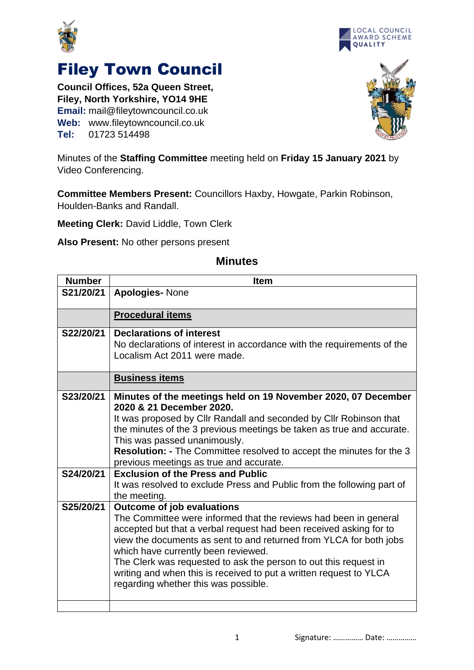



## Filey Town Council

**Council Offices, 52a Queen Street, Filey, North Yorkshire, YO14 9HE Email:** mail@fileytowncouncil.co.uk **Web:** www.fileytowncouncil.co.uk **Tel:** 01723 514498



Minutes of the **Staffing Committee** meeting held on **Friday 15 January 2021** by Video Conferencing.

**Committee Members Present:** Councillors Haxby, Howgate, Parkin Robinson, Houlden-Banks and Randall.

**Meeting Clerk:** David Liddle, Town Clerk

**Also Present:** No other persons present

## **Minutes**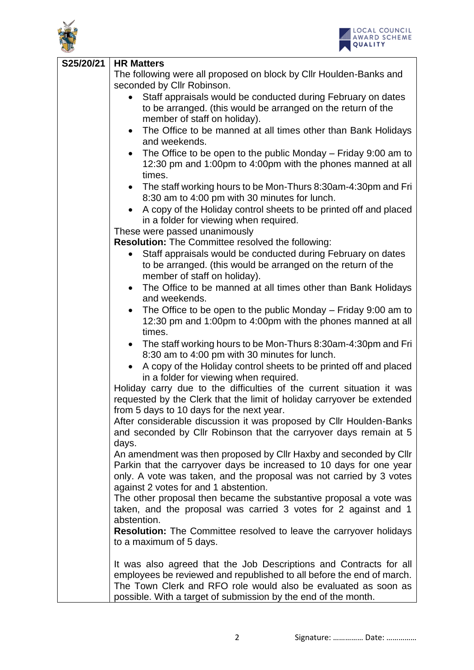



| S25/20/21 | <b>HR Matters</b>                                                              |  |
|-----------|--------------------------------------------------------------------------------|--|
|           | The following were all proposed on block by Cllr Houlden-Banks and             |  |
|           | seconded by Cllr Robinson.                                                     |  |
|           | Staff appraisals would be conducted during February on dates                   |  |
|           | to be arranged. (this would be arranged on the return of the                   |  |
|           | member of staff on holiday).                                                   |  |
|           | The Office to be manned at all times other than Bank Holidays                  |  |
|           | and weekends.                                                                  |  |
|           | The Office to be open to the public Monday $-$ Friday 9:00 am to               |  |
|           | 12:30 pm and 1:00pm to 4:00pm with the phones manned at all                    |  |
|           | times.                                                                         |  |
|           | The staff working hours to be Mon-Thurs 8:30am-4:30pm and Fri                  |  |
|           | 8:30 am to 4:00 pm with 30 minutes for lunch.                                  |  |
|           | A copy of the Holiday control sheets to be printed off and placed<br>$\bullet$ |  |
|           | in a folder for viewing when required.                                         |  |
|           | These were passed unanimously                                                  |  |
|           | Resolution: The Committee resolved the following:                              |  |
|           | Staff appraisals would be conducted during February on dates                   |  |
|           | to be arranged. (this would be arranged on the return of the                   |  |
|           | member of staff on holiday).                                                   |  |
|           | The Office to be manned at all times other than Bank Holidays                  |  |
|           | and weekends.                                                                  |  |
|           | The Office to be open to the public Monday $-$ Friday 9:00 am to               |  |
|           | 12:30 pm and 1:00pm to 4:00pm with the phones manned at all                    |  |
|           | times.                                                                         |  |
|           | The staff working hours to be Mon-Thurs 8:30am-4:30pm and Fri                  |  |
|           | 8:30 am to 4:00 pm with 30 minutes for lunch.                                  |  |
|           | A copy of the Holiday control sheets to be printed off and placed              |  |
|           | in a folder for viewing when required.                                         |  |
|           | Holiday carry due to the difficulties of the current situation it was          |  |
|           | requested by the Clerk that the limit of holiday carryover be extended         |  |
|           | from 5 days to 10 days for the next year.                                      |  |
|           | After considerable discussion it was proposed by Cllr Houlden-Banks            |  |
|           | and seconded by Cllr Robinson that the carryover days remain at 5              |  |
|           | days.                                                                          |  |
|           | An amendment was then proposed by CIIr Haxby and seconded by CIIr              |  |
|           | Parkin that the carryover days be increased to 10 days for one year            |  |
|           | only. A vote was taken, and the proposal was not carried by 3 votes            |  |
|           | against 2 votes for and 1 abstention.                                          |  |
|           | The other proposal then became the substantive proposal a vote was             |  |
|           | taken, and the proposal was carried 3 votes for 2 against and 1                |  |
|           | abstention.                                                                    |  |
|           | <b>Resolution:</b> The Committee resolved to leave the carryover holidays      |  |
|           | to a maximum of 5 days.                                                        |  |
|           |                                                                                |  |
|           | It was also agreed that the Job Descriptions and Contracts for all             |  |
|           | employees be reviewed and republished to all before the end of march.          |  |
|           | The Town Clerk and RFO role would also be evaluated as soon as                 |  |
|           | possible. With a target of submission by the end of the month.                 |  |